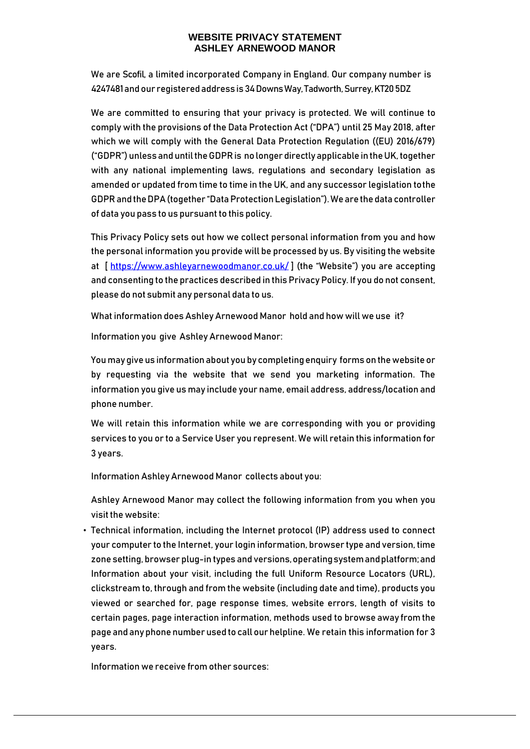We are Scofil, a limited incorporated Company in England. Our company number is 4247481andour registeredaddress is 34 Downs Way, Tadworth, Surrey, KT20 5DZ

We are committed to ensuring that your privacy is protected. We will continue to comply with the provisions of the Data Protection Act ("DPA") until 25 May 2018, after which we will comply with the General Data Protection Regulation ((EU) 2016/679) ("GDPR") unless and until the GDPR is no longer directly applicable in the UK, together with any national implementing laws, regulations and secondary legislation as amended or updated from time to time in the UK, and any successor legislation tothe GDPR and the DPA (together "Data Protection Legislation"). We are the data controller of data you pass to us pursuant to this policy.

This Privacy Policy sets out how we collect personal information from you and how the personal information you provide will be processed by us. By visiting the website at  $[https://www.ashleyarnewoodmanor.co.uk/]$  (the "Website") you are accepting and consenting to the practices described in this Privacy Policy. If you do not consent, please do not submit any personal data to us.

What information does Ashley Arnewood Manor hold and how will we use it?

Information you give Ashley Arnewood Manor:

You may give us information about you by completing enquiry forms on the website or by requesting via the website that we send you marketing information. The information you give us may include your name, email address, address/location and phone number.

We will retain this information while we are corresponding with you or providing services to you or to a Service User you represent. We will retain this information for 3 years.

Information Ashley Arnewood Manor collects about you:

Ashley Arnewood Manor may collect the following information from you when you visit the website:

• Technical information, including the Internet protocol (IP) address used to connect your computer to the Internet, your login information, browser type and version, time zone setting, browser plug-in types and versions,operatingsystemandplatform;and Information about your visit, including the full Uniform Resource Locators (URL), clickstream to, through and from the website (including date and time), products you viewed or searched for, page response times, website errors, length of visits to certain pages, page interaction information, methods used to browse away from the page and any phone number used to call our helpline. We retain this information for 3 years.

Information we receive from other sources: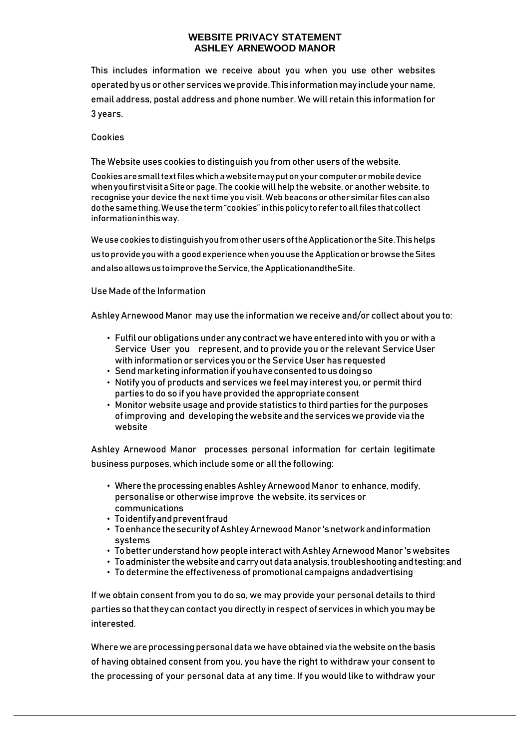This includes information we receive about you when you use other websites operated by us or other services we provide. This information may include your name, email address, postal address and phone number. We will retain this information for 3 years.

#### Cookies

The Website uses cookies to distinguish you from other users of the website.

Cookiesaresmalltextfileswhichawebsitemayputonyourcomputerormobiledevice when you first visit a Site or page. The cookie will help the website, or another website, to recognise your device the next time you visit. Web beacons orothersimilar filescanalso dothesamething.Weusetheterm"cookies"inthispolicy torefer toallfiles thatcollect informationinthisway.

Weusecookies todistinguishyoufromotherusersoftheApplicationor theSite. Thishelps us to provide youwith a good experiencewhen youuse theApplication or browse theSites and also allows us to improve the Service, the Application and the Site.

#### Use Made of the Information

Ashley Arnewood Manor may use the information we receive and/or collect about you to:

- Fulfil our obligations under any contract we have entered into with you or with a Service User you represent, and to provide you or the relevant ServiceUser with information or services you or the Service User has requested
- Sendmarketinginformationif youhaveconsentedtousdoingso
- Notify you of products and services we feel may interest you, or permit third parties to do so if you have provided the appropriateconsent
- Monitor website usage and provide statistics to third parties for the purposes of improving and developing thewebsite and theserviceswe provide via the website

Ashley Arnewood Manor processes personal information for certain legitimate business purposes, which include some or all the following:

- Where the processing enables Ashley Arnewood Manor to enhance, modify, personalise or otherwise improve the website, its services or communications
- Toidentifyandpreventfraud
- ToenhancethesecurityofAshley Arnewood Manor 'snetworkandinformation systems
- To betterunderstandhowpeople interactwithAshley Arnewood Manor 'swebsites
- Toadminister thewebsiteandcarryoutdataanalysis,troubleshootingandtesting;and
- To determine the effectiveness of promotional campaigns andadvertising

If we obtain consent from you to do so, we may provide your personal details to third parties so that they can contact you directly in respect of services in which you may be interested.

Where we are processing personal data we have obtained via the website on the basis of having obtained consent from you, you have the right to withdraw your consent to the processing of your personal data at any time. If you would like to withdraw your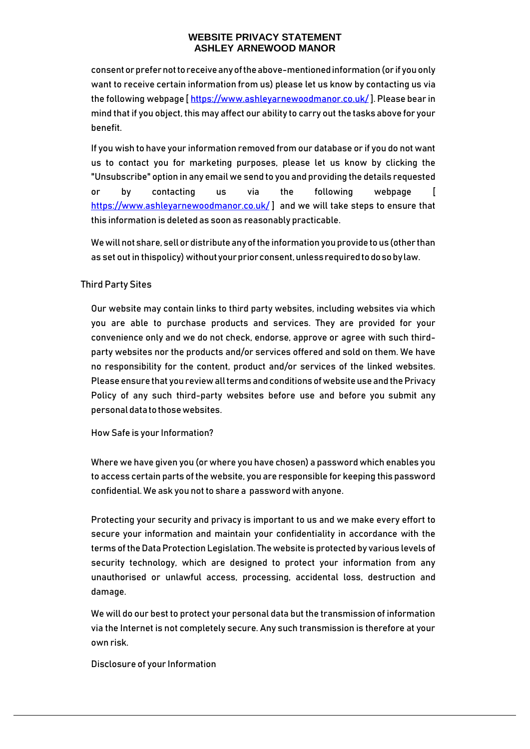consentorprefernottoreceiveanyoftheabove-mentionedinformation (or if youonly want to receive certain information from us) please let us know by contacting us via the following webpage [https://www.ashleyarnewoodmanor.co.uk/]. Please bear in mind that if you object, this may affect our ability to carry out the tasks above for your benefit.

If you wish to have your information removed from our database or if you do not want us to contact you for marketing purposes, please let us know by clicking the "Unsubscribe" option in any email we send to you and providing the details requested or by contacting us via the following webpage [ <https://www.ashleyarnewoodmanor.co.uk/> ] and we will take steps to ensure that this information is deleted as soon as reasonably practicable.

We will not share, sell or distribute any of the information you provide to us (other than as set out in thispolicy) without your prior consent, unless required to do so by law.

# Third Party Sites

Our website may contain links to third party websites, including websites via which you are able to purchase products and services. They are provided for your convenience only and we do not check, endorse, approve or agree with such thirdparty websites nor the products and/or services offered and sold on them. We have no responsibility for the content, product and/or services of the linked websites. Please ensure that you review all terms and conditions of website use and the Privacy Policy of any such third-party websites before use and before you submit any personaldatatothosewebsites.

How Safe is your Information?

Where we have given you (or where you have chosen) a password which enables you to access certain parts of the website, you are responsible for keeping this password confidential. We ask you not to share a password with anyone.

Protecting your security and privacy is important to us and we make every effort to secure your information and maintain your confidentiality in accordance with the terms of the Data Protection Legislation. The website is protected by various levels of security technology, which are designed to protect your information from any unauthorised or unlawful access, processing, accidental loss, destruction and damage.

We will do our best to protect your personal data but the transmission of information via the Internet is not completely secure. Any such transmission is therefore at your own risk.

Disclosure of your Information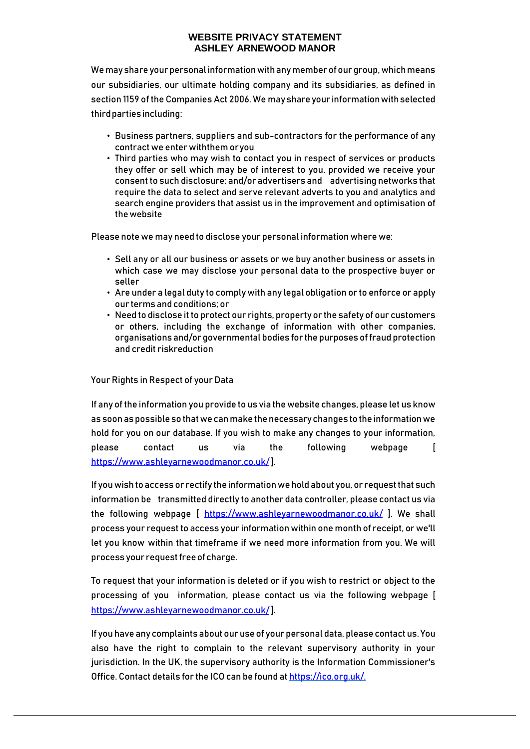We may share your personal information with any member of our group, which means our subsidiaries, our ultimate holding company and its subsidiaries, as defined in section 1159 of the Companies Act 2006. We mayshareyour informationwithselected thirdpartiesincluding:

- Business partners, suppliers and sub-contractors for the performance of any contract we enter withthem oryou
- Third parties who may wish to contact you in respect of services or products they offer or sell which may be of interest to you, provided we receive your consent to such disclosure; and/or advertisers and advertising networks that require the data to select and serve relevant adverts to you and analytics and search engine providers that assist us in the improvement and optimisation of thewebsite

Please note we may need to disclose your personal information where we:

- Sell any or all our business or assets or we buy another business or assets in which case we may disclose your personal data to the prospective buyer or seller
- Are under a legal duty to comply with any legal obligation or to enforce or apply our terms andconditions; or
- Need to disclose it to protect our rights, property or the safety of our customers or others, including the exchange of information with other companies, organisations and/or governmental bodies for the purposes of fraud protection and credit riskreduction

Your Rights in Respect of your Data

If any of the information you provide to us via the website changes, please let us know as soon as possible so that we can make the necessary changes to the information we hold for you on our database. If you wish to make any changes to your information, please contact us via the following webpage [ [https://www.ashleyarnewoodmanor.co.uk/\]](https://www.ashleyarnewoodmanor.co.uk/).

If you wish to access or rectify the information we hold about you, or request that such information be transmitted directly to another data controller, please contact us via the following webpage [ <https://www.ashleyarnewoodmanor.co.uk/> ]. We shall process your request to access your information within one month of receipt, or we'll let you know within that timeframe if we need more information from you. We will process your request free of charge.

To request that your information is deleted or if you wish to restrict or object to the processing of you information, please contact us via the following webpage [ [https://www.ashleyarnewoodmanor.co.uk/\]](https://www.ashleyarnewoodmanor.co.uk/).

If you have any complaints about our use of your personal data, please contact us. You also have the right to complain to the relevant supervisory authority in your jurisdiction. In the UK, the supervisory authority is the Information Commissioner's Office. Contact details for the ICO can be found at https://ico.org.uk/.